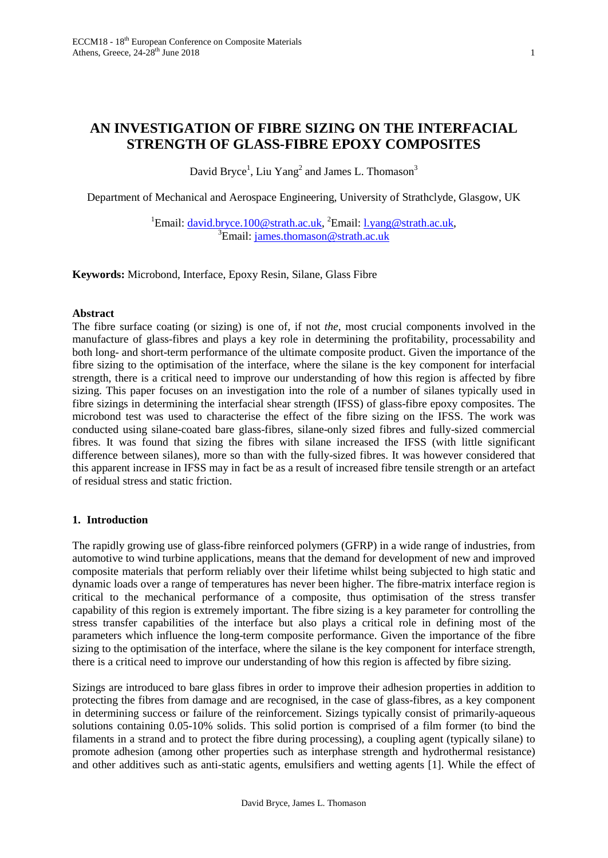# **AN INVESTIGATION OF FIBRE SIZING ON THE INTERFACIAL STRENGTH OF GLASS-FIBRE EPOXY COMPOSITES**

David Bryce<sup>1</sup>, Liu Yang<sup>2</sup> and James L. Thomason<sup>3</sup>

Department of Mechanical and Aerospace Engineering, University of Strathclyde, Glasgow, UK

<sup>1</sup>Email:  $\frac{dayid.bryce.100@strath.ac.uk}{35}$   $\frac{35}{10}$   $\frac{35}{10}$   $\frac{1}{10}$   $\frac{35}{10}$   $\frac{1}{10}$   $\frac{35}{10}$   $\frac{1}{10}$   $\frac{35}{10}$   $\frac{1}{10}$   $\frac{1}{10}$   $\frac{1}{10}$   $\frac{1}{10}$   $\frac{1}{10}$   $\frac{1}{10}$   $\frac{1}{10}$   $\frac{1}{10}$   $\frac{1}{$  $E^3$ Email: [james.thomason@strath.ac.uk](mailto:james.thomason@strath.ac.uk)

**Keywords:** Microbond, Interface, Epoxy Resin, Silane, Glass Fibre

#### **Abstract**

The fibre surface coating (or sizing) is one of, if not *the*, most crucial components involved in the manufacture of glass-fibres and plays a key role in determining the profitability, processability and both long- and short-term performance of the ultimate composite product. Given the importance of the fibre sizing to the optimisation of the interface, where the silane is the key component for interfacial strength, there is a critical need to improve our understanding of how this region is affected by fibre sizing. This paper focuses on an investigation into the role of a number of silanes typically used in fibre sizings in determining the interfacial shear strength (IFSS) of glass-fibre epoxy composites. The microbond test was used to characterise the effect of the fibre sizing on the IFSS. The work was conducted using silane-coated bare glass-fibres, silane-only sized fibres and fully-sized commercial fibres. It was found that sizing the fibres with silane increased the IFSS (with little significant difference between silanes), more so than with the fully-sized fibres. It was however considered that this apparent increase in IFSS may in fact be as a result of increased fibre tensile strength or an artefact of residual stress and static friction.

## **1. Introduction**

The rapidly growing use of glass-fibre reinforced polymers (GFRP) in a wide range of industries, from automotive to wind turbine applications, means that the demand for development of new and improved composite materials that perform reliably over their lifetime whilst being subjected to high static and dynamic loads over a range of temperatures has never been higher. The fibre-matrix interface region is critical to the mechanical performance of a composite, thus optimisation of the stress transfer capability of this region is extremely important. The fibre sizing is a key parameter for controlling the stress transfer capabilities of the interface but also plays a critical role in defining most of the parameters which influence the long-term composite performance. Given the importance of the fibre sizing to the optimisation of the interface, where the silane is the key component for interface strength, there is a critical need to improve our understanding of how this region is affected by fibre sizing.

Sizings are introduced to bare glass fibres in order to improve their adhesion properties in addition to protecting the fibres from damage and are recognised, in the case of glass-fibres, as a key component in determining success or failure of the reinforcement. Sizings typically consist of primarily-aqueous solutions containing 0.05-10% solids. This solid portion is comprised of a film former (to bind the filaments in a strand and to protect the fibre during processing), a coupling agent (typically silane) to promote adhesion (among other properties such as interphase strength and hydrothermal resistance) and other additives such as anti-static agents, emulsifiers and wetting agents [1]. While the effect of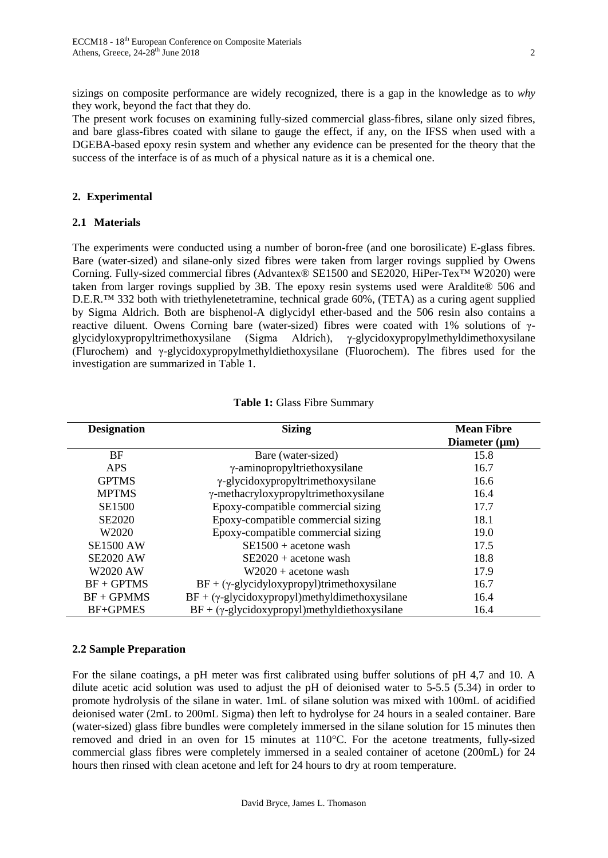sizings on composite performance are widely recognized, there is a gap in the knowledge as to *why* they work, beyond the fact that they do.

The present work focuses on examining fully-sized commercial glass-fibres, silane only sized fibres, and bare glass-fibres coated with silane to gauge the effect, if any, on the IFSS when used with a DGEBA-based epoxy resin system and whether any evidence can be presented for the theory that the success of the interface is of as much of a physical nature as it is a chemical one.

## **2. Experimental**

#### **2.1 Materials**

The experiments were conducted using a number of boron-free (and one borosilicate) E-glass fibres. Bare (water-sized) and silane-only sized fibres were taken from larger rovings supplied by Owens Corning. Fully-sized commercial fibres (Advantex® SE1500 and SE2020, HiPer-Tex™ W2020) were taken from larger rovings supplied by 3B. The epoxy resin systems used were Araldite® 506 and D.E.R.<sup>™</sup> 332 both with triethylenetetramine, technical grade 60%, (TETA) as a curing agent supplied by Sigma Aldrich. Both are bisphenol-A diglycidyl ether-based and the 506 resin also contains a reactive diluent. Owens Corning bare (water-sized) fibres were coated with 1% solutions of γglycidyloxypropyltrimethoxysilane (Sigma Aldrich), γ-glycidoxypropylmethyldimethoxysilane (Flurochem) and γ-glycidoxypropylmethyldiethoxysilane (Fluorochem). The fibres used for the investigation are summarized in Table 1.

| <b>Designation</b> | <b>Sizing</b>                                         | <b>Mean Fibre</b><br>Diameter $(\mu m)$ |
|--------------------|-------------------------------------------------------|-----------------------------------------|
| <b>BF</b>          | Bare (water-sized)                                    | 15.8                                    |
| <b>APS</b>         | γ-aminopropyltriethoxysilane                          | 16.7                                    |
| <b>GPTMS</b>       | γ-glycidoxypropyltrimethoxysilane                     | 16.6                                    |
| <b>MPTMS</b>       | γ-methacryloxypropyltrimethoxysilane                  | 16.4                                    |
| <b>SE1500</b>      | Epoxy-compatible commercial sizing                    | 17.7                                    |
| <b>SE2020</b>      | Epoxy-compatible commercial sizing                    | 18.1                                    |
| W <sub>2020</sub>  | Epoxy-compatible commercial sizing                    | 19.0                                    |
| <b>SE1500 AW</b>   | $SE1500 + acetone$ wash                               | 17.5                                    |
| <b>SE2020 AW</b>   | $SE2020 + acetone$ wash                               | 18.8                                    |
| <b>W2020 AW</b>    | $W2020 +$ acetone wash                                | 17.9                                    |
| $BF + GPTMS$       | $BF + (\gamma$ -glycidyloxypropyl)trimethoxysilane    | 16.7                                    |
| $BF + GPMMS$       | $BF + (\gamma$ -glycidoxypropyl)methyldimethoxysilane | 16.4                                    |
| <b>BF+GPMES</b>    | $BF + (\gamma$ -glycidoxypropyl)methyldiethoxysilane  | 16.4                                    |

#### **Table 1:** Glass Fibre Summary

#### **2.2 Sample Preparation**

For the silane coatings, a pH meter was first calibrated using buffer solutions of pH 4,7 and 10. A dilute acetic acid solution was used to adjust the pH of deionised water to 5-5.5 (5.34) in order to promote hydrolysis of the silane in water. 1mL of silane solution was mixed with 100mL of acidified deionised water (2mL to 200mL Sigma) then left to hydrolyse for 24 hours in a sealed container. Bare (water-sized) glass fibre bundles were completely immersed in the silane solution for 15 minutes then removed and dried in an oven for 15 minutes at 110°C. For the acetone treatments, fully-sized commercial glass fibres were completely immersed in a sealed container of acetone (200mL) for 24 hours then rinsed with clean acetone and left for 24 hours to dry at room temperature.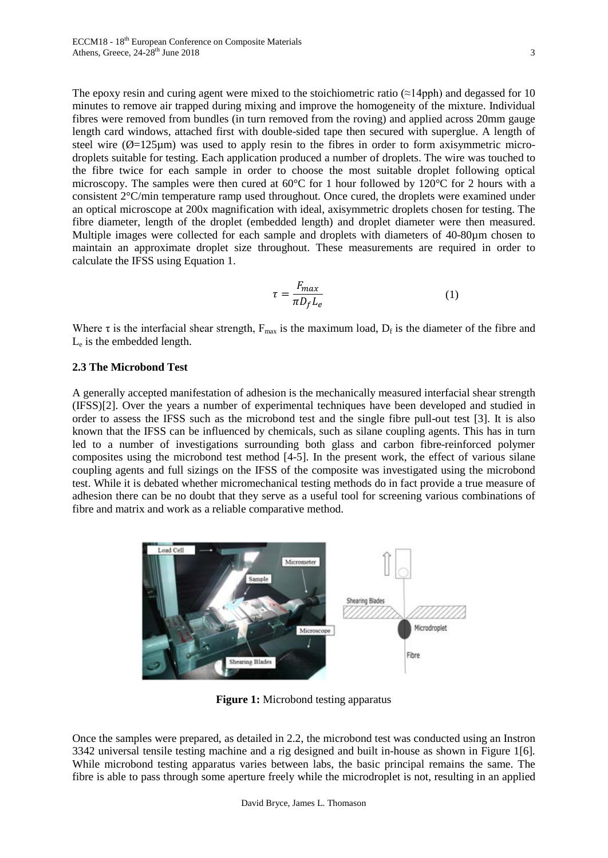The epoxy resin and curing agent were mixed to the stoichiometric ratio  $(\approx 14 \text{pph})$  and degassed for 10 minutes to remove air trapped during mixing and improve the homogeneity of the mixture. Individual fibres were removed from bundles (in turn removed from the roving) and applied across 20mm gauge length card windows, attached first with double-sided tape then secured with superglue. A length of steel wire  $(\emptyset = 125 \mu m)$  was used to apply resin to the fibres in order to form axisymmetric microdroplets suitable for testing. Each application produced a number of droplets. The wire was touched to the fibre twice for each sample in order to choose the most suitable droplet following optical microscopy. The samples were then cured at 60°C for 1 hour followed by 120°C for 2 hours with a consistent 2°C/min temperature ramp used throughout. Once cured, the droplets were examined under an optical microscope at 200x magnification with ideal, axisymmetric droplets chosen for testing. The fibre diameter, length of the droplet (embedded length) and droplet diameter were then measured. Multiple images were collected for each sample and droplets with diameters of 40-80µm chosen to maintain an approximate droplet size throughout. These measurements are required in order to calculate the IFSS using Equation 1.

$$
\tau = \frac{F_{max}}{\pi D_f L_e} \tag{1}
$$

Where  $\tau$  is the interfacial shear strength,  $F_{\text{max}}$  is the maximum load,  $D_f$  is the diameter of the fibre and Le is the embedded length.

## **2.3 The Microbond Test**

A generally accepted manifestation of adhesion is the mechanically measured interfacial shear strength (IFSS)[2]. Over the years a number of experimental techniques have been developed and studied in order to assess the IFSS such as the microbond test and the single fibre pull-out test [3]. It is also known that the IFSS can be influenced by chemicals, such as silane coupling agents. This has in turn led to a number of investigations surrounding both glass and carbon fibre-reinforced polymer composites using the microbond test method [4-5]. In the present work, the effect of various silane coupling agents and full sizings on the IFSS of the composite was investigated using the microbond test. While it is debated whether micromechanical testing methods do in fact provide a true measure of adhesion there can be no doubt that they serve as a useful tool for screening various combinations of fibre and matrix and work as a reliable comparative method.



**Figure 1:** Microbond testing apparatus

Once the samples were prepared, as detailed in 2.2, the microbond test was conducted using an Instron 3342 universal tensile testing machine and a rig designed and built in-house as shown in Figure 1[6]. While microbond testing apparatus varies between labs, the basic principal remains the same. The fibre is able to pass through some aperture freely while the microdroplet is not, resulting in an applied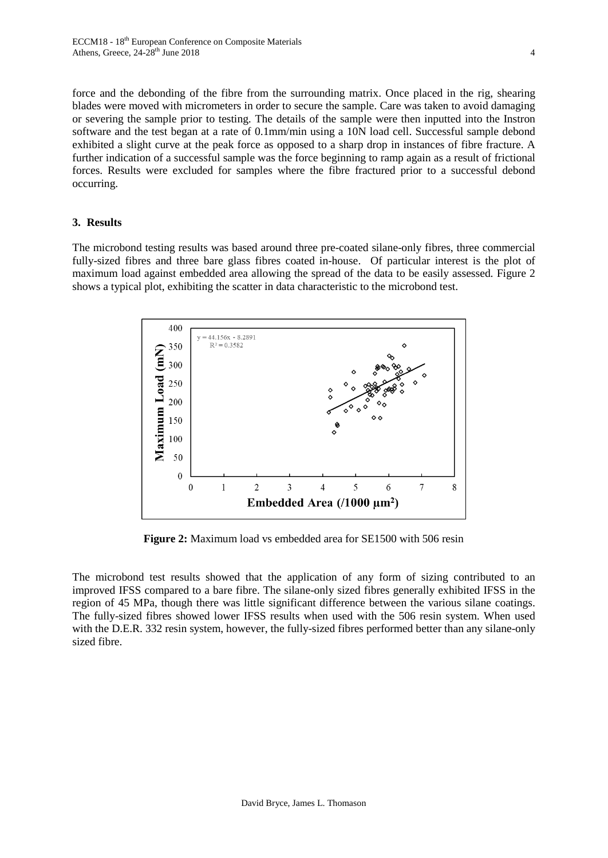force and the debonding of the fibre from the surrounding matrix. Once placed in the rig, shearing blades were moved with micrometers in order to secure the sample. Care was taken to avoid damaging or severing the sample prior to testing. The details of the sample were then inputted into the Instron software and the test began at a rate of 0.1mm/min using a 10N load cell. Successful sample debond exhibited a slight curve at the peak force as opposed to a sharp drop in instances of fibre fracture. A further indication of a successful sample was the force beginning to ramp again as a result of frictional forces. Results were excluded for samples where the fibre fractured prior to a successful debond occurring.

#### **3. Results**

The microbond testing results was based around three pre-coated silane-only fibres, three commercial fully-sized fibres and three bare glass fibres coated in-house. Of particular interest is the plot of maximum load against embedded area allowing the spread of the data to be easily assessed. Figure 2 shows a typical plot, exhibiting the scatter in data characteristic to the microbond test.



**Figure 2:** Maximum load vs embedded area for SE1500 with 506 resin

The microbond test results showed that the application of any form of sizing contributed to an improved IFSS compared to a bare fibre. The silane-only sized fibres generally exhibited IFSS in the region of 45 MPa, though there was little significant difference between the various silane coatings. The fully-sized fibres showed lower IFSS results when used with the 506 resin system. When used with the D.E.R. 332 resin system, however, the fully-sized fibres performed better than any silane-only sized fibre.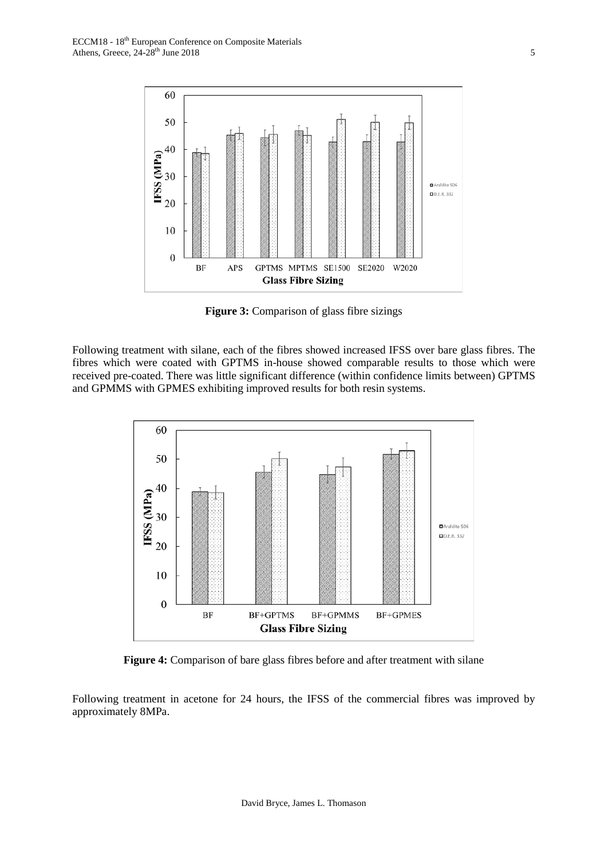

**Figure 3:** Comparison of glass fibre sizings

Following treatment with silane, each of the fibres showed increased IFSS over bare glass fibres. The fibres which were coated with GPTMS in-house showed comparable results to those which were received pre-coated. There was little significant difference (within confidence limits between) GPTMS and GPMMS with GPMES exhibiting improved results for both resin systems.



**Figure 4:** Comparison of bare glass fibres before and after treatment with silane

Following treatment in acetone for 24 hours, the IFSS of the commercial fibres was improved by approximately 8MPa.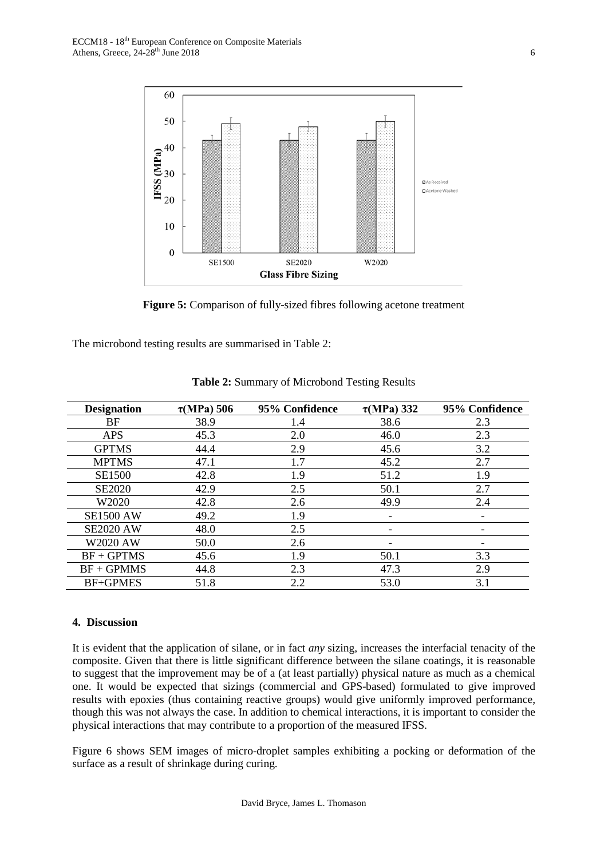

**Figure 5:** Comparison of fully-sized fibres following acetone treatment

The microbond testing results are summarised in Table 2:

| <b>Designation</b> | $\tau(MPa)$ 506 | 95% Confidence | $\tau(MPa)$ 332          | 95% Confidence |
|--------------------|-----------------|----------------|--------------------------|----------------|
| BF                 | 38.9            | 1.4            | 38.6                     | 2.3            |
| <b>APS</b>         | 45.3            | 2.0            | 46.0                     | 2.3            |
| <b>GPTMS</b>       | 44.4            | 2.9            | 45.6                     | 3.2            |
| <b>MPTMS</b>       | 47.1            | 1.7            | 45.2                     | 2.7            |
| <b>SE1500</b>      | 42.8            | 1.9            | 51.2                     | 1.9            |
| <b>SE2020</b>      | 42.9            | 2.5            | 50.1                     | 2.7            |
| W2020              | 42.8            | 2.6            | 49.9                     | 2.4            |
| <b>SE1500 AW</b>   | 49.2            | 1.9            | -                        |                |
| <b>SE2020 AW</b>   | 48.0            | 2.5            | $\overline{\phantom{0}}$ |                |
| <b>W2020 AW</b>    | 50.0            | 2.6            | $\overline{\phantom{a}}$ |                |
| $BF + GPTMS$       | 45.6            | 1.9            | 50.1                     | 3.3            |
| $BF + GPMMS$       | 44.8            | 2.3            | 47.3                     | 2.9            |
| <b>BF+GPMES</b>    | 51.8            | 2.2            | 53.0                     | 3.1            |

**Table 2:** Summary of Microbond Testing Results

#### **4. Discussion**

It is evident that the application of silane, or in fact *any* sizing, increases the interfacial tenacity of the composite. Given that there is little significant difference between the silane coatings, it is reasonable to suggest that the improvement may be of a (at least partially) physical nature as much as a chemical one. It would be expected that sizings (commercial and GPS-based) formulated to give improved results with epoxies (thus containing reactive groups) would give uniformly improved performance, though this was not always the case. In addition to chemical interactions, it is important to consider the physical interactions that may contribute to a proportion of the measured IFSS.

Figure 6 shows SEM images of micro-droplet samples exhibiting a pocking or deformation of the surface as a result of shrinkage during curing.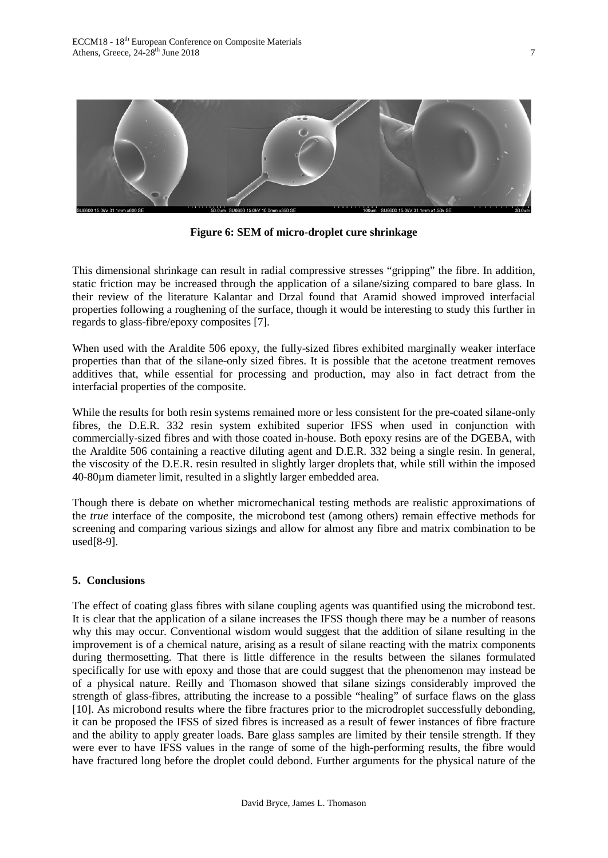

**Figure 6: SEM of micro-droplet cure shrinkage**

This dimensional shrinkage can result in radial compressive stresses "gripping" the fibre. In addition, static friction may be increased through the application of a silane/sizing compared to bare glass. In their review of the literature Kalantar and Drzal found that Aramid showed improved interfacial properties following a roughening of the surface, though it would be interesting to study this further in regards to glass-fibre/epoxy composites [7].

When used with the Araldite 506 epoxy, the fully-sized fibres exhibited marginally weaker interface properties than that of the silane-only sized fibres. It is possible that the acetone treatment removes additives that, while essential for processing and production, may also in fact detract from the interfacial properties of the composite.

While the results for both resin systems remained more or less consistent for the pre-coated silane-only fibres, the D.E.R. 332 resin system exhibited superior IFSS when used in conjunction with commercially-sized fibres and with those coated in-house. Both epoxy resins are of the DGEBA, with the Araldite 506 containing a reactive diluting agent and D.E.R. 332 being a single resin. In general, the viscosity of the D.E.R. resin resulted in slightly larger droplets that, while still within the imposed 40-80µm diameter limit, resulted in a slightly larger embedded area.

Though there is debate on whether micromechanical testing methods are realistic approximations of the *true* interface of the composite, the microbond test (among others) remain effective methods for screening and comparing various sizings and allow for almost any fibre and matrix combination to be used[8-9].

## **5. Conclusions**

The effect of coating glass fibres with silane coupling agents was quantified using the microbond test. It is clear that the application of a silane increases the IFSS though there may be a number of reasons why this may occur. Conventional wisdom would suggest that the addition of silane resulting in the improvement is of a chemical nature, arising as a result of silane reacting with the matrix components during thermosetting. That there is little difference in the results between the silanes formulated specifically for use with epoxy and those that are could suggest that the phenomenon may instead be of a physical nature. Reilly and Thomason showed that silane sizings considerably improved the strength of glass-fibres, attributing the increase to a possible "healing" of surface flaws on the glass [10]. As microbond results where the fibre fractures prior to the microdroplet successfully debonding, it can be proposed the IFSS of sized fibres is increased as a result of fewer instances of fibre fracture and the ability to apply greater loads. Bare glass samples are limited by their tensile strength. If they were ever to have IFSS values in the range of some of the high-performing results, the fibre would have fractured long before the droplet could debond. Further arguments for the physical nature of the